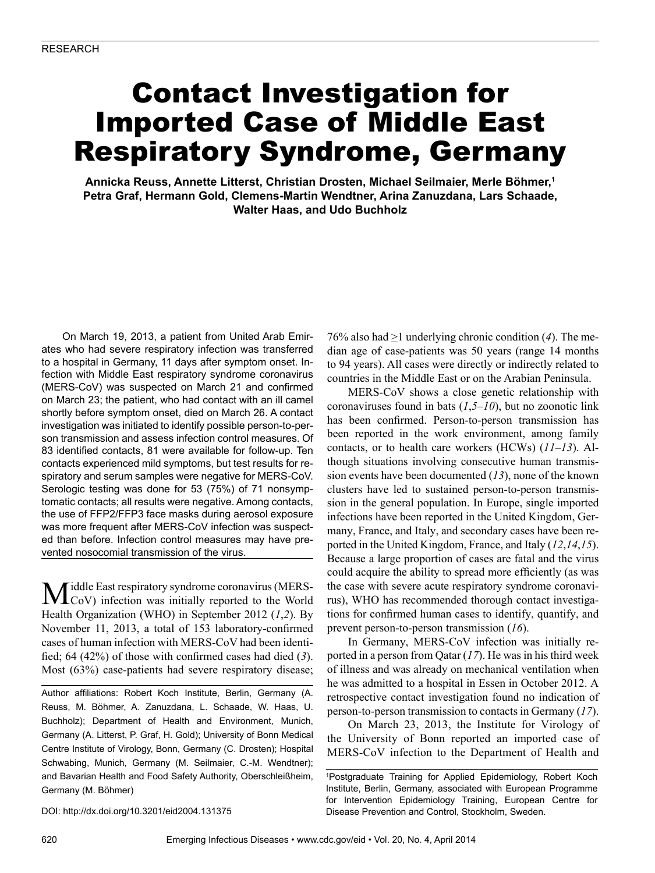# Contact Investigation for Imported Case of Middle East Respiratory Syndrome, Germany

**Annicka Reuss, Annette Litterst, Christian Drosten, Michael Seilmaier, Merle Böhmer,1 Petra Graf, Hermann Gold, Clemens-Martin Wendtner, Arina Zanuzdana, Lars Schaade, Walter Haas, and Udo Buchholz**

On March 19, 2013, a patient from United Arab Emirates who had severe respiratory infection was transferred to a hospital in Germany, 11 days after symptom onset. Infection with Middle East respiratory syndrome coronavirus (MERS-CoV) was suspected on March 21 and confirmed on March 23; the patient, who had contact with an ill camel shortly before symptom onset, died on March 26. A contact investigation was initiated to identify possible person-to-person transmission and assess infection control measures. Of 83 identified contacts, 81 were available for follow-up. Ten contacts experienced mild symptoms, but test results for respiratory and serum samples were negative for MERS-CoV. Serologic testing was done for 53 (75%) of 71 nonsymptomatic contacts; all results were negative. Among contacts, the use of FFP2/FFP3 face masks during aerosol exposure was more frequent after MERS-CoV infection was suspected than before. Infection control measures may have prevented nosocomial transmission of the virus.

Middle East respiratory syndrome coronavirus (MERS-<br>CoV) infection was initially reported to the World Health Organization (WHO) in September 2012 (*1*,*2*). By November 11, 2013, a total of 153 laboratory-confirmed cases of human infection with MERS-CoV had been identified; 64 (42%) of those with confirmed cases had died (*3*). Most (63%) case-patients had severe respiratory disease;

Author affiliations: Robert Koch Institute, Berlin, Germany (A. Reuss, M. Böhmer, A. Zanuzdana, L. Schaade, W. Haas, U. Buchholz); Department of Health and Environment, Munich, Germany (A. Litterst, P. Graf, H. Gold); University of Bonn Medical Centre Institute of Virology, Bonn, Germany (C. Drosten); Hospital Schwabing, Munich, Germany (M. Seilmaier, C.-M. Wendtner); and Bavarian Health and Food Safety Authority, Oberschleißheim, Germany (M. Böhmer)

76% also had >1 underlying chronic condition (*4*). The median age of case-patients was 50 years (range 14 months to 94 years). All cases were directly or indirectly related to countries in the Middle East or on the Arabian Peninsula.

MERS-CoV shows a close genetic relationship with coronaviruses found in bats (*1*,*5*–*10*), but no zoonotic link has been confirmed. Person-to-person transmission has been reported in the work environment, among family contacts, or to health care workers (HCWs) (*11*–*13*). Although situations involving consecutive human transmission events have been documented (*13*), none of the known clusters have led to sustained person-to-person transmission in the general population. In Europe, single imported infections have been reported in the United Kingdom, Germany, France, and Italy, and secondary cases have been reported in the United Kingdom, France, and Italy (*12*,*14*,*15*). Because a large proportion of cases are fatal and the virus could acquire the ability to spread more efficiently (as was the case with severe acute respiratory syndrome coronavirus), WHO has recommended thorough contact investigations for confirmed human cases to identify, quantify, and prevent person-to-person transmission (*16*).

In Germany, MERS-CoV infection was initially reported in a person from Qatar (*17*). He was in his third week of illness and was already on mechanical ventilation when he was admitted to a hospital in Essen in October 2012. A retrospective contact investigation found no indication of person-to-person transmission to contacts in Germany (*17*).

On March 23, 2013, the Institute for Virology of the University of Bonn reported an imported case of MERS-CoV infection to the Department of Health and

DOI: http://dx.doi.org/10.3201/eid2004.131375

<sup>1</sup> Postgraduate Training for Applied Epidemiology, Robert Koch Institute, Berlin, Germany, associated with European Programme for Intervention Epidemiology Training, European Centre for Disease Prevention and Control, Stockholm, Sweden.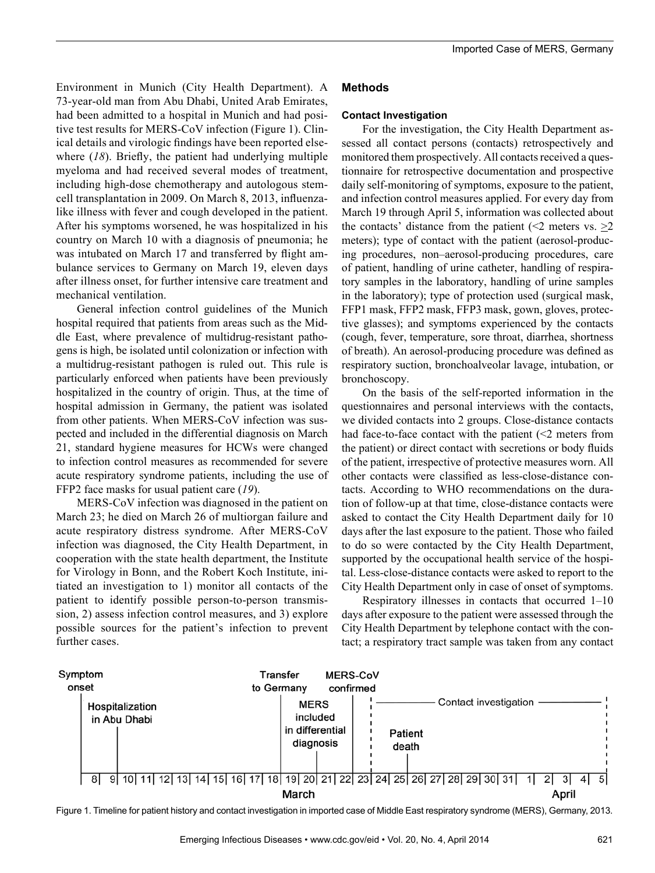Environment in Munich (City Health Department). A 73-year-old man from Abu Dhabi, United Arab Emirates, had been admitted to a hospital in Munich and had positive test results for MERS-CoV infection (Figure 1). Clinical details and virologic findings have been reported elsewhere (*18*). Briefly, the patient had underlying multiple myeloma and had received several modes of treatment, including high-dose chemotherapy and autologous stemcell transplantation in 2009. On March 8, 2013, influenzalike illness with fever and cough developed in the patient. After his symptoms worsened, he was hospitalized in his country on March 10 with a diagnosis of pneumonia; he was intubated on March 17 and transferred by flight ambulance services to Germany on March 19, eleven days after illness onset, for further intensive care treatment and mechanical ventilation.

General infection control guidelines of the Munich hospital required that patients from areas such as the Middle East, where prevalence of multidrug-resistant pathogens is high, be isolated until colonization or infection with a multidrug-resistant pathogen is ruled out. This rule is particularly enforced when patients have been previously hospitalized in the country of origin. Thus, at the time of hospital admission in Germany, the patient was isolated from other patients. When MERS-CoV infection was suspected and included in the differential diagnosis on March 21, standard hygiene measures for HCWs were changed to infection control measures as recommended for severe acute respiratory syndrome patients, including the use of FFP2 face masks for usual patient care (*19*).

MERS-CoV infection was diagnosed in the patient on March 23; he died on March 26 of multiorgan failure and acute respiratory distress syndrome. After MERS-CoV infection was diagnosed, the City Health Department, in cooperation with the state health department, the Institute for Virology in Bonn, and the Robert Koch Institute, initiated an investigation to 1) monitor all contacts of the patient to identify possible person-to-person transmission, 2) assess infection control measures, and 3) explore possible sources for the patient's infection to prevent further cases.

# **Methods**

#### **Contact Investigation**

For the investigation, the City Health Department assessed all contact persons (contacts) retrospectively and monitored them prospectively. All contacts received a questionnaire for retrospective documentation and prospective daily self-monitoring of symptoms, exposure to the patient, and infection control measures applied. For every day from March 19 through April 5, information was collected about the contacts' distance from the patient (<2 meters vs.  $\geq$ 2 meters); type of contact with the patient (aerosol-producing procedures, non–aerosol-producing procedures, care of patient, handling of urine catheter, handling of respiratory samples in the laboratory, handling of urine samples in the laboratory); type of protection used (surgical mask, FFP1 mask, FFP2 mask, FFP3 mask, gown, gloves, protective glasses); and symptoms experienced by the contacts (cough, fever, temperature, sore throat, diarrhea, shortness of breath). An aerosol-producing procedure was defined as respiratory suction, bronchoalveolar lavage, intubation, or bronchoscopy.

On the basis of the self-reported information in the questionnaires and personal interviews with the contacts, we divided contacts into 2 groups. Close-distance contacts had face-to-face contact with the patient  $\leq 2$  meters from the patient) or direct contact with secretions or body fluids of the patient, irrespective of protective measures worn. All other contacts were classified as less-close-distance contacts. According to WHO recommendations on the duration of follow-up at that time, close-distance contacts were asked to contact the City Health Department daily for 10 days after the last exposure to the patient. Those who failed to do so were contacted by the City Health Department, supported by the occupational health service of the hospital. Less-close-distance contacts were asked to report to the City Health Department only in case of onset of symptoms.

Respiratory illnesses in contacts that occurred 1–10 days after exposure to the patient were assessed through the City Health Department by telephone contact with the contact; a respiratory tract sample was taken from any contact



Figure 1. Timeline for patient history and contact investigation in imported case of Middle East respiratory syndrome (MERS), Germany, 2013.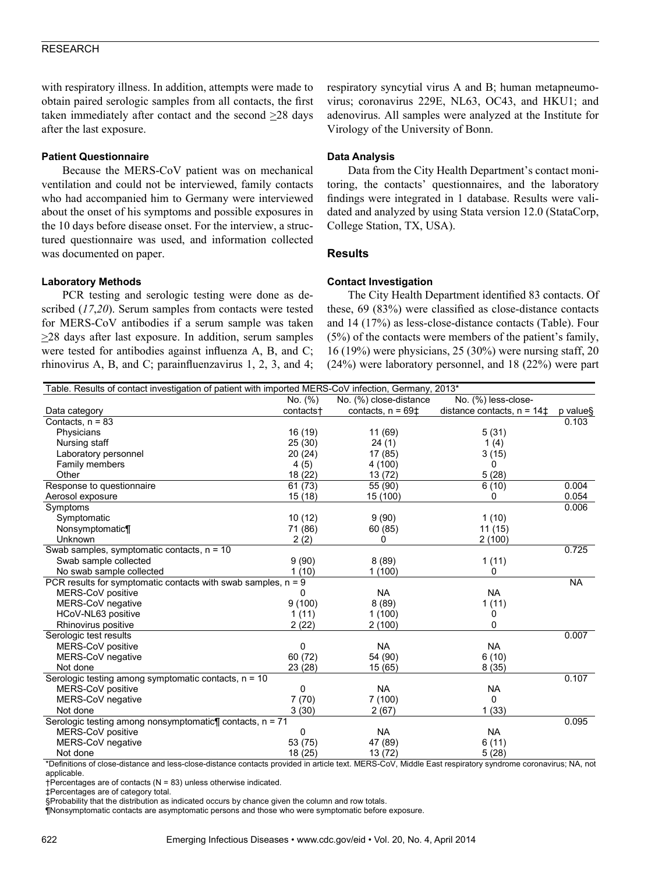## RESEARCH

with respiratory illness. In addition, attempts were made to obtain paired serologic samples from all contacts, the first taken immediately after contact and the second  $\geq$ 28 days after the last exposure.

### **Patient Questionnaire**

Because the MERS-CoV patient was on mechanical ventilation and could not be interviewed, family contacts who had accompanied him to Germany were interviewed about the onset of his symptoms and possible exposures in the 10 days before disease onset. For the interview, a structured questionnaire was used, and information collected was documented on paper.

#### **Laboratory Methods**

PCR testing and serologic testing were done as described (*17*,*20*). Serum samples from contacts were tested for MERS-CoV antibodies if a serum sample was taken >28 days after last exposure. In addition, serum samples were tested for antibodies against influenza A, B, and C; rhinovirus A, B, and C; parainfluenzavirus 1, 2, 3, and 4; respiratory syncytial virus A and B; human metapneumovirus; coronavirus 229E, NL63, OC43, and HKU1; and adenovirus. All samples were analyzed at the Institute for Virology of the University of Bonn.

# **Data Analysis**

Data from the City Health Department's contact monitoring, the contacts' questionnaires, and the laboratory findings were integrated in 1 database. Results were validated and analyzed by using Stata version 12.0 (StataCorp, College Station, TX, USA).

### **Results**

#### **Contact Investigation**

The City Health Department identified 83 contacts. Of these, 69 (83%) were classified as close-distance contacts and 14 (17%) as less-close-distance contacts (Table). Four (5%) of the contacts were members of the patient's family, 16 (19%) were physicians, 25 (30%) were nursing staff, 20 (24%) were laboratory personnel, and 18 (22%) were part

| Table. Results of contact investigation of patient with imported MERS-CoV infection, Germany, 2013* |           |                        |                                     |           |
|-----------------------------------------------------------------------------------------------------|-----------|------------------------|-------------------------------------|-----------|
|                                                                                                     | No. (%)   | No. (%) close-distance | No. (%) less-close-                 |           |
| Data category                                                                                       | contacts+ | contacts, $n = 69\pm$  | distance contacts, $n = 14\ddagger$ | p value§  |
| Contacts, $n = 83$                                                                                  |           |                        |                                     | 0.103     |
| Physicians                                                                                          | 16 (19)   | 11 (69)                | 5(31)                               |           |
| Nursing staff                                                                                       | 25 (30)   | 24(1)                  | 1(4)                                |           |
| Laboratory personnel                                                                                | 20 (24)   | 17(85)                 | 3(15)                               |           |
| Family members                                                                                      | 4(5)      | 4 (100)                | 0                                   |           |
| Other                                                                                               | 18 (22)   | 13 (72)                | 5(28)                               |           |
| Response to questionnaire                                                                           | 61(73)    | 55 (90)                | 6(10)                               | 0.004     |
| Aerosol exposure                                                                                    | 15(18)    | 15 (100)               | 0                                   | 0.054     |
| Symptoms                                                                                            |           |                        |                                     | 0.006     |
| Symptomatic                                                                                         | 10(12)    | 9(90)                  | 1(10)                               |           |
| Nonsymptomatic¶                                                                                     | 71 (86)   | 60 (85)                | 11 (15)                             |           |
| Unknown                                                                                             | 2(2)      | 0                      | 2(100)                              |           |
| Swab samples, symptomatic contacts, $n = 10$                                                        |           |                        |                                     | 0.725     |
| Swab sample collected                                                                               | 9(90)     | 8(89)                  | 1(11)                               |           |
| No swab sample collected                                                                            | 1(10)     | 1(100)                 | 0                                   |           |
| PCR results for symptomatic contacts with swab samples, $n = 9$                                     |           |                        |                                     | <b>NA</b> |
| MERS-CoV positive                                                                                   | 0         | <b>NA</b>              | <b>NA</b>                           |           |
| MERS-CoV negative                                                                                   | 9(100)    | 8(89)                  | 1(11)                               |           |
| HCoV-NL63 positive                                                                                  | 1(11)     | 1(100)                 | 0                                   |           |
| Rhinovirus positive                                                                                 | 2(22)     | 2(100)                 | 0                                   |           |
| Serologic test results                                                                              |           |                        |                                     | 0.007     |
| MERS-CoV positive                                                                                   | 0         | <b>NA</b>              | <b>NA</b>                           |           |
| MERS-CoV negative                                                                                   | 60 (72)   | 54 (90)                | 6(10)                               |           |
| Not done                                                                                            | 23 (28)   | 15(65)                 | 8(35)                               |           |
| Serologic testing among symptomatic contacts, n = 10                                                |           |                        |                                     | 0.107     |
| MERS-CoV positive                                                                                   | 0         | <b>NA</b>              | <b>NA</b>                           |           |
| MERS-CoV negative                                                                                   | 7(70)     | 7(100)                 | $\mathbf{0}$                        |           |
| Not done                                                                                            | 3(30)     | 2(67)                  | 1(33)                               |           |
| Serologic testing among nonsymptomatic¶ contacts, n = 71                                            |           |                        |                                     | 0.095     |
| MERS-CoV positive                                                                                   | 0         | <b>NA</b>              | <b>NA</b>                           |           |
| MERS-CoV negative                                                                                   | 53 (75)   | 47 (89)                | 6(11)                               |           |
| Not done                                                                                            | 18 (25)   | 13(72)                 | 5(28)                               |           |

\*Definitions of close-distance and less-close-distance contacts provided in article text. MERS-CoV, Middle East respiratory syndrome coronavirus; NA, not applicable.

†Percentages are of contacts (N = 83) unless otherwise indicated.

‡Percentages are of category total.

§Probability that the distribution as indicated occurs by chance given the column and row totals.

¶Nonsymptomatic contacts are asymptomatic persons and those who were symptomatic before exposure.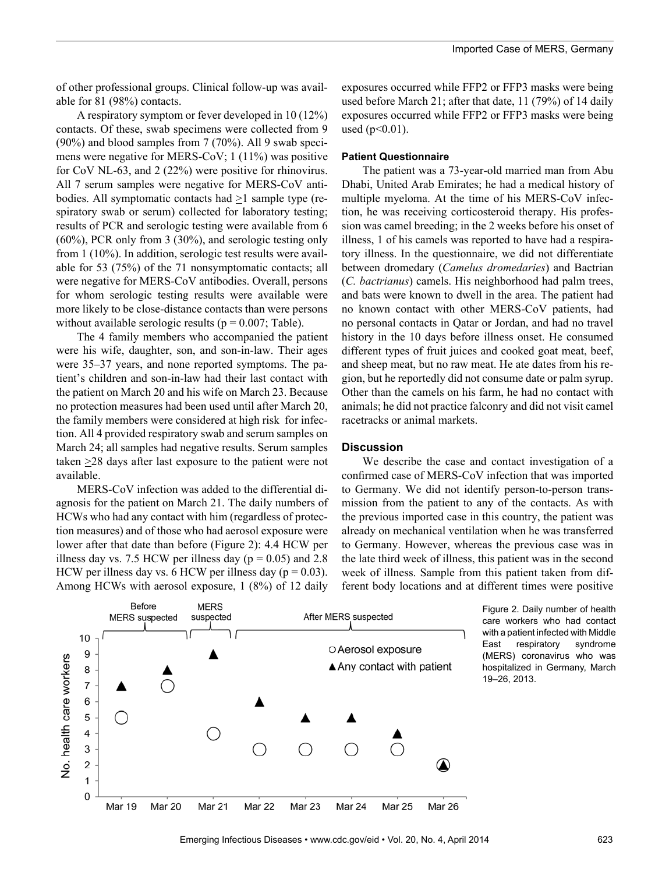of other professional groups. Clinical follow-up was available for 81 (98%) contacts.

A respiratory symptom or fever developed in 10 (12%) contacts. Of these, swab specimens were collected from 9 (90%) and blood samples from 7 (70%). All 9 swab specimens were negative for MERS-CoV; 1 (11%) was positive for CoV NL-63, and 2 (22%) were positive for rhinovirus. All 7 serum samples were negative for MERS-CoV antibodies. All symptomatic contacts had >1 sample type (respiratory swab or serum) collected for laboratory testing; results of PCR and serologic testing were available from 6 (60%), PCR only from 3 (30%), and serologic testing only from 1 (10%). In addition, serologic test results were available for 53 (75%) of the 71 nonsymptomatic contacts; all were negative for MERS-CoV antibodies. Overall, persons for whom serologic testing results were available were more likely to be close-distance contacts than were persons without available serologic results ( $p = 0.007$ ; Table).

The 4 family members who accompanied the patient were his wife, daughter, son, and son-in-law. Their ages were 35–37 years, and none reported symptoms. The patient's children and son-in-law had their last contact with the patient on March 20 and his wife on March 23. Because no protection measures had been used until after March 20, the family members were considered at high risk for infection. All 4 provided respiratory swab and serum samples on March 24; all samples had negative results. Serum samples taken  $\geq$ 28 days after last exposure to the patient were not available.

MERS-CoV infection was added to the differential diagnosis for the patient on March 21. The daily numbers of HCWs who had any contact with him (regardless of protection measures) and of those who had aerosol exposure were lower after that date than before (Figure 2): 4.4 HCW per illness day vs. 7.5 HCW per illness day ( $p = 0.05$ ) and 2.8 HCW per illness day vs. 6 HCW per illness day ( $p = 0.03$ ). Among HCWs with aerosol exposure, 1 (8%) of 12 daily

exposures occurred while FFP2 or FFP3 masks were being used before March 21; after that date, 11 (79%) of 14 daily exposures occurred while FFP2 or FFP3 masks were being used  $(p<0.01)$ .

#### **Patient Questionnaire**

The patient was a 73-year-old married man from Abu Dhabi, United Arab Emirates; he had a medical history of multiple myeloma. At the time of his MERS-CoV infection, he was receiving corticosteroid therapy. His profession was camel breeding; in the 2 weeks before his onset of illness, 1 of his camels was reported to have had a respiratory illness. In the questionnaire, we did not differentiate between dromedary (*Camelus dromedaries*) and Bactrian (*C. bactrianus*) camels. His neighborhood had palm trees, and bats were known to dwell in the area. The patient had no known contact with other MERS-CoV patients, had no personal contacts in Qatar or Jordan, and had no travel history in the 10 days before illness onset. He consumed different types of fruit juices and cooked goat meat, beef, and sheep meat, but no raw meat. He ate dates from his region, but he reportedly did not consume date or palm syrup. Other than the camels on his farm, he had no contact with animals; he did not practice falconry and did not visit camel racetracks or animal markets.

#### **Discussion**

We describe the case and contact investigation of a confirmed case of MERS-CoV infection that was imported to Germany. We did not identify person-to-person transmission from the patient to any of the contacts. As with the previous imported case in this country, the patient was already on mechanical ventilation when he was transferred to Germany. However, whereas the previous case was in the late third week of illness, this patient was in the second week of illness. Sample from this patient taken from different body locations and at different times were positive



Figure 2. Daily number of health care workers who had contact with a patient infected with Middle East respiratory syndrome (MERS) coronavirus who was hospitalized in Germany, March 19–26, 2013.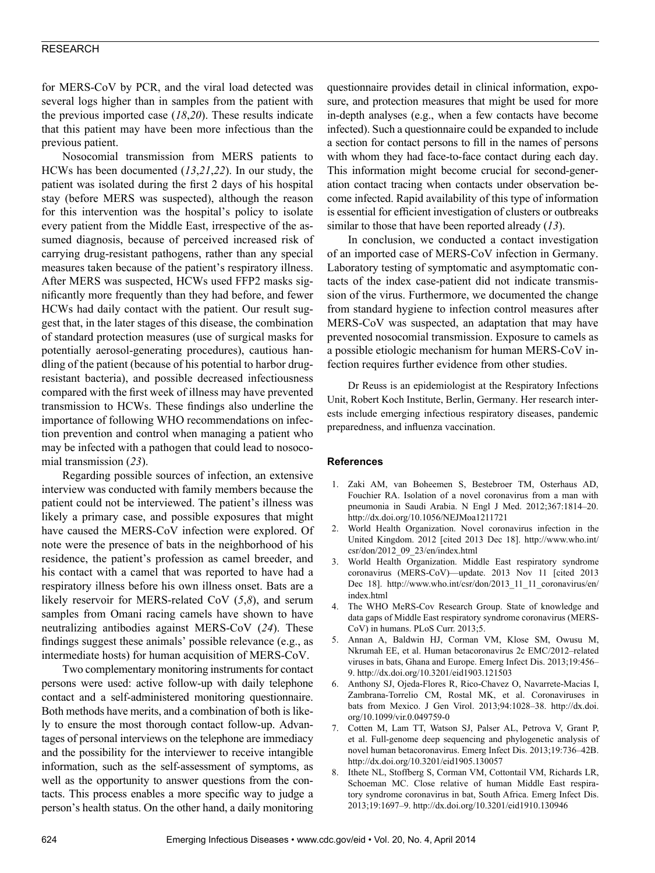## RESEARCH

for MERS-CoV by PCR, and the viral load detected was several logs higher than in samples from the patient with the previous imported case (*18*,*20*). These results indicate that this patient may have been more infectious than the previous patient.

Nosocomial transmission from MERS patients to HCWs has been documented (*13*,*21*,*22*). In our study, the patient was isolated during the first 2 days of his hospital stay (before MERS was suspected), although the reason for this intervention was the hospital's policy to isolate every patient from the Middle East, irrespective of the assumed diagnosis, because of perceived increased risk of carrying drug-resistant pathogens, rather than any special measures taken because of the patient's respiratory illness. After MERS was suspected, HCWs used FFP2 masks significantly more frequently than they had before, and fewer HCWs had daily contact with the patient. Our result suggest that, in the later stages of this disease, the combination of standard protection measures (use of surgical masks for potentially aerosol-generating procedures), cautious handling of the patient (because of his potential to harbor drugresistant bacteria), and possible decreased infectiousness compared with the first week of illness may have prevented transmission to HCWs. These findings also underline the importance of following WHO recommendations on infection prevention and control when managing a patient who may be infected with a pathogen that could lead to nosocomial transmission (*23*).

Regarding possible sources of infection, an extensive interview was conducted with family members because the patient could not be interviewed. The patient's illness was likely a primary case, and possible exposures that might have caused the MERS-CoV infection were explored. Of note were the presence of bats in the neighborhood of his residence, the patient's profession as camel breeder, and his contact with a camel that was reported to have had a respiratory illness before his own illness onset. Bats are a likely reservoir for MERS-related CoV (*5*,*8*), and serum samples from Omani racing camels have shown to have neutralizing antibodies against MERS-CoV (*24*). These findings suggest these animals' possible relevance (e.g., as intermediate hosts) for human acquisition of MERS-CoV.

Two complementary monitoring instruments for contact persons were used: active follow-up with daily telephone contact and a self-administered monitoring questionnaire. Both methods have merits, and a combination of both is likely to ensure the most thorough contact follow-up. Advantages of personal interviews on the telephone are immediacy and the possibility for the interviewer to receive intangible information, such as the self-assessment of symptoms, as well as the opportunity to answer questions from the contacts. This process enables a more specific way to judge a person's health status. On the other hand, a daily monitoring

questionnaire provides detail in clinical information, exposure, and protection measures that might be used for more in-depth analyses (e.g., when a few contacts have become infected). Such a questionnaire could be expanded to include a section for contact persons to fill in the names of persons with whom they had face-to-face contact during each day. This information might become crucial for second-generation contact tracing when contacts under observation become infected. Rapid availability of this type of information is essential for efficient investigation of clusters or outbreaks similar to those that have been reported already (*13*).

In conclusion, we conducted a contact investigation of an imported case of MERS-CoV infection in Germany. Laboratory testing of symptomatic and asymptomatic contacts of the index case-patient did not indicate transmission of the virus. Furthermore, we documented the change from standard hygiene to infection control measures after MERS-CoV was suspected, an adaptation that may have prevented nosocomial transmission. Exposure to camels as a possible etiologic mechanism for human MERS-CoV infection requires further evidence from other studies.

Dr Reuss is an epidemiologist at the Respiratory Infections Unit, Robert Koch Institute, Berlin, Germany. Her research interests include emerging infectious respiratory diseases, pandemic preparedness, and influenza vaccination.

#### **References**

- 1. Zaki AM, van Boheemen S, Bestebroer TM, Osterhaus AD, Fouchier RA. Isolation of a novel coronavirus from a man with pneumonia in Saudi Arabia. N Engl J Med. 2012;367:1814–20. http://dx.doi.org/10.1056/NEJMoa1211721
- 2. World Health Organization. Novel coronavirus infection in the United Kingdom. 2012 [cited 2013 Dec 18]. http://www.who.int/ csr/don/2012\_09\_23/en/index.html
- 3. World Health Organization. Middle East respiratory syndrome coronavirus (MERS-CoV)—update. 2013 Nov 11 [cited 2013 Dec 18]. http://www.who.int/csr/don/2013\_11\_11\_coronavirus/en/ index.html
- 4. The WHO MeRS-Cov Research Group. State of knowledge and data gaps of Middle East respiratory syndrome coronavirus (MERS-CoV) in humans. PLoS Curr. 2013;5.
- 5. Annan A, Baldwin HJ, Corman VM, Klose SM, Owusu M, Nkrumah EE, et al. Human betacoronavirus 2c EMC/2012–related viruses in bats, Ghana and Europe. Emerg Infect Dis. 2013;19:456– 9. http://dx.doi.org/10.3201/eid1903.121503
- 6. Anthony SJ, Ojeda-Flores R, Rico-Chavez O, Navarrete-Macias I, Zambrana-Torrelio CM, Rostal MK, et al. Coronaviruses in bats from Mexico. J Gen Virol. 2013;94:1028–38. http://dx.doi. org/10.1099/vir.0.049759-0
- 7. Cotten M, Lam TT, Watson SJ, Palser AL, Petrova V, Grant P, et al. Full-genome deep sequencing and phylogenetic analysis of novel human betacoronavirus. Emerg Infect Dis. 2013;19:736–42B. http://dx.doi.org/10.3201/eid1905.130057
- 8. Ithete NL, Stoffberg S, Corman VM, Cottontail VM, Richards LR, Schoeman MC. Close relative of human Middle East respiratory syndrome coronavirus in bat, South Africa. Emerg Infect Dis. 2013;19:1697–9. http://dx.doi.org/10.3201/eid1910.130946